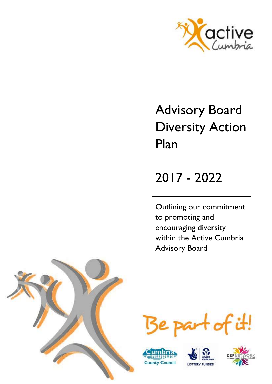

# Advisory Board Diversity Action Plan

## 2017 - 2022

Outlining our commitment to promoting and encouraging diversity within the Active Cumbria Advisory Board









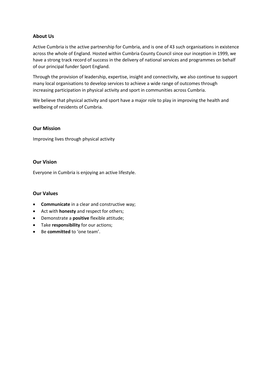## **About Us**

Active Cumbria is the active partnership for Cumbria, and is one of 43 such organisations in existence across the whole of England. Hosted within Cumbria County Council since our inception in 1999, we have a strong track record of success in the delivery of national services and programmes on behalf of our principal funder Sport England.

Through the provision of leadership, expertise, insight and connectivity, we also continue to support many local organisations to develop services to achieve a wide range of outcomes through increasing participation in physical activity and sport in communities across Cumbria.

We believe that physical activity and sport have a major role to play in improving the health and wellbeing of residents of Cumbria.

#### **Our Mission**

Improving lives through physical activity

#### **Our Vision**

Everyone in Cumbria is enjoying an active lifestyle.

#### **Our Values**

- **Communicate** in a clear and constructive way;
- Act with **honesty** and respect for others;
- Demonstrate a **positive** flexible attitude;
- Take **responsibility** for our actions;
- Be **committed** to 'one team'.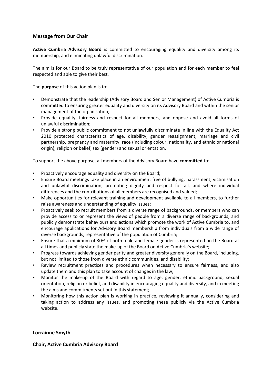## **Message from Our Chair**

**Active Cumbria Advisory Board** is committed to encouraging equality and diversity among its membership, and eliminating unlawful discrimination.

The aim is for our Board to be truly representative of our population and for each member to feel respected and able to give their best.

The **purpose** of this action plan is to: -

- Demonstrate that the leadership (Advisory Board and Senior Management) of Active Cumbria is committed to ensuring greater equality and diversity on its Advisory Board and within the senior management of the organisation;
- Provide equality, fairness and respect for all members, and oppose and avoid all forms of unlawful discrimination;
- Provide a strong public commitment to not unlawfully discriminate in line with the Equality Act 2010 protected characteristics of age, disability, gender reassignment, marriage and civil partnership, pregnancy and maternity, race (including colour, nationality, and ethnic or national origin), religion or belief, sex (gender) and sexual orientation.

To support the above purpose, all members of the Advisory Board have **committed** to: -

- Proactively encourage equality and diversity on the Board;
- Ensure Board meetings take place in an environment free of bullying, harassment, victimisation and unlawful discrimination, promoting dignity and respect for all, and where individual differences and the contributions of all members are recognised and valued;
- Make opportunities for relevant training and development available to all members, to further raise awareness and understanding of equality issues;
- Proactively seek to recruit members from a diverse range of backgrounds, or members who can provide access to or represent the views of people from a diverse range of backgrounds, and publicly demonstrate behaviours and actions which promote the work of Active Cumbria to, and encourage applications for Advisory Board membership from individuals from a wide range of diverse backgrounds, representative of the population of Cumbria;
- Ensure that a minimum of 30% of both male and female gender is represented on the Board at all times and publicly state the make-up of the Board on Active Cumbria's website;
- Progress towards achieving gender parity and greater diversity generally on the Board, including, but not limited to those from diverse ethnic communities, and disability;
- Review recruitment practices and procedures when necessary to ensure fairness, and also update them and this plan to take account of changes in the law;
- Monitor the make-up of the Board with regard to age, gender, ethnic background, sexual orientation, religion or belief, and disability in encouraging equality and diversity, and in meeting the aims and commitments set out in this statement;
- Monitoring how this action plan is working in practice, reviewing it annually, considering and taking action to address any issues, and promoting these publicly via the Active Cumbria website.

#### **Lorrainne Smyth**

**Chair, Active Cumbria Advisory Board**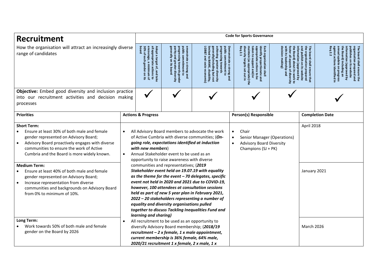| <b>Recruitment</b>                                                                                                                                                                                                                                                                                                                                                                                                                                                                             | <b>Code for Sports Governance</b>                                                                                                                                                                                                                                          |                                                                                                                                                   |                                                                                                                                                                                                                                       |                                                                                                                                                                                                                                                                                                                                                                                                                                                                                      |                                                                                                                                                                                                                     |                                                                                                                                              |                                                                                               |                                                                                                                                                                                                                                   |  |  |
|------------------------------------------------------------------------------------------------------------------------------------------------------------------------------------------------------------------------------------------------------------------------------------------------------------------------------------------------------------------------------------------------------------------------------------------------------------------------------------------------|----------------------------------------------------------------------------------------------------------------------------------------------------------------------------------------------------------------------------------------------------------------------------|---------------------------------------------------------------------------------------------------------------------------------------------------|---------------------------------------------------------------------------------------------------------------------------------------------------------------------------------------------------------------------------------------|--------------------------------------------------------------------------------------------------------------------------------------------------------------------------------------------------------------------------------------------------------------------------------------------------------------------------------------------------------------------------------------------------------------------------------------------------------------------------------------|---------------------------------------------------------------------------------------------------------------------------------------------------------------------------------------------------------------------|----------------------------------------------------------------------------------------------------------------------------------------------|-----------------------------------------------------------------------------------------------|-----------------------------------------------------------------------------------------------------------------------------------------------------------------------------------------------------------------------------------|--|--|
| How the organisation will attract an increasingly diverse<br>range of candidates                                                                                                                                                                                                                                                                                                                                                                                                               |                                                                                                                                                                                                                                                                            | 30% of each<br>Adopt a target of, and take<br>all appropriate actions to<br>encourage, a<br>board<br>gender on<br>minimum<br>Ë,<br>$\mathbf{Q}_n$ | generally on its board<br>progressing towards gender<br>parity and greater diversity<br>public commitment to<br>emonstrate a strong and                                                                                               | public commitment to<br>limited<br>LGB&T :<br>generally(including but not<br>imited to BAME, disability,<br><b>achieving</b><br>rogressing towards<br>chieving greater diversity<br><b>economic</b>                                                                                                                                                                                                                                                                                  | Req<br>maintain<br>diversity<br>taken to support and/or<br>Each organisation shall<br>identify proportionate and<br>appropriate actions to be<br>Demonstrate a strong and<br>targets<br>(as appropriate) the<br>gut | nformation<br>with its leadership<br>oster all aspects<br>he Board) about its<br>king<br>n (approved by<br>about its work to<br>of diversity | The<br>훔<br>ā<br>organisation prepared<br>I publish on its website<br>board shall ensure<br>Ë | ᄛ<br>nnual update on progress<br>gainst actions identified in<br>ह<br>mual update<br>rganisation<br>dishes on its website<br>formation (approved by<br>Board)<br>board shall ensure the<br>anisation prepared and<br>including an |  |  |
| Objective: Embed good diversity and inclusion practice<br>into our recruitment activities and decision making                                                                                                                                                                                                                                                                                                                                                                                  |                                                                                                                                                                                                                                                                            |                                                                                                                                                   |                                                                                                                                                                                                                                       |                                                                                                                                                                                                                                                                                                                                                                                                                                                                                      |                                                                                                                                                                                                                     |                                                                                                                                              |                                                                                               |                                                                                                                                                                                                                                   |  |  |
| processes                                                                                                                                                                                                                                                                                                                                                                                                                                                                                      |                                                                                                                                                                                                                                                                            |                                                                                                                                                   |                                                                                                                                                                                                                                       |                                                                                                                                                                                                                                                                                                                                                                                                                                                                                      |                                                                                                                                                                                                                     |                                                                                                                                              |                                                                                               |                                                                                                                                                                                                                                   |  |  |
| <b>Priorities</b>                                                                                                                                                                                                                                                                                                                                                                                                                                                                              |                                                                                                                                                                                                                                                                            | <b>Actions &amp; Progress</b>                                                                                                                     |                                                                                                                                                                                                                                       |                                                                                                                                                                                                                                                                                                                                                                                                                                                                                      | Person(s) Responsible                                                                                                                                                                                               |                                                                                                                                              | <b>Completion Date</b>                                                                        |                                                                                                                                                                                                                                   |  |  |
| <b>Short Term:</b><br>Ensure at least 30% of both male and female<br>gender represented on Advisory Board;<br>Advisory Board proactively engages with diverse<br>communities to ensure the work of Active<br>Cumbria and the Board is more widely known.<br><b>Medium Term:</b><br>Ensure at least 40% of both male and female<br>gender represented on Advisory Board;<br>Increase representation from diverse<br>communities and backgrounds on Advisory Board<br>from 0% to minimum of 10%. |                                                                                                                                                                                                                                                                            | with new members)<br>learning and sharing)                                                                                                        | going role, expectations identified at induction<br>Annual Stakeholder event to be used as an<br>opportunity to raise awareness with diverse<br>communities and representatives; (2019<br>equality and diversity organisations pulled | All Advisory Board members to advocate the work<br>of Active Cumbria with diverse communities; (On-<br>Stakeholder event held on 19.07.19 with equality<br>as the theme for the event $-70$ delegates, specific<br>event not held in 2020 and 2021 due to COVID-19,<br>however, 100 attendees at consultation sessions<br>held as part of new 5 year plan in February 2021,<br>2022 - 20 stakeholders representing a number of<br>together to discuss Tackling Inequalities Fund and | Chair<br>$\bullet$<br>Senior Manager (Operations)<br><b>Advisory Board Diversity</b><br>Champions (SJ + PK)                                                                                                         |                                                                                                                                              | April 2018<br>January 2021                                                                    |                                                                                                                                                                                                                                   |  |  |
| Long Term:<br>Work towards 50% of both male and female<br>gender on the Board by 2026                                                                                                                                                                                                                                                                                                                                                                                                          | All recruitment to be used as an opportunity to<br>diversify Advisory Board membership; (2018/19<br><b>March 2026</b><br>$recruitment - 2$ x female, 1 x male appointment,<br>current membership is 36% female, 64% male,<br>2020/21 recruitment 1 x female, 2 x male, 1 x |                                                                                                                                                   |                                                                                                                                                                                                                                       |                                                                                                                                                                                                                                                                                                                                                                                                                                                                                      |                                                                                                                                                                                                                     |                                                                                                                                              |                                                                                               |                                                                                                                                                                                                                                   |  |  |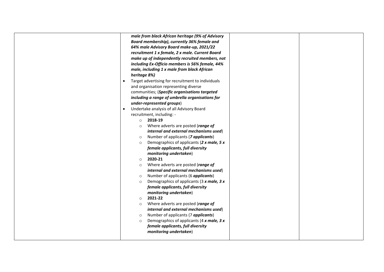| male from black African heritage (9% of Advisory               |
|----------------------------------------------------------------|
| Board membership), currently 36% female and                    |
| 64% male Advisory Board make-up, 2021/22                       |
| recruitment 1 x female, 2 x male. Current Board                |
| make up of independently recruited members, not                |
| including Ex-Officio members is 56% female, 44%                |
| male, including 1 x male from black African                    |
| heritage 8%)                                                   |
| Target advertising for recruitment to individuals<br>$\bullet$ |
| and organisation representing diverse                          |
| communities; (Specific organisations targeted                  |
| including a range of umbrella organisations for                |
| under-represented groups)                                      |
| Undertake analysis of all Advisory Board                       |
| recruitment, including: -                                      |
| 2018-19<br>$\circ$                                             |
| Where adverts are posted (range of<br>$\circ$                  |
| internal and external mechanisms used)                         |
| Number of applicants (7 applicants)<br>$\circ$                 |
| Demographics of applicants (2 x male, 5 x<br>$\circ$           |
| female applicants, full diversity                              |
| monitoring undertaken)                                         |
| 2020-21<br>$\circ$                                             |
| Where adverts are posted (range of<br>$\circ$                  |
| internal and external mechanisms used)                         |
| Number of applicants (6 <i>applicants</i> )<br>$\circ$         |
| Demographics of applicants (3 x male, 3 x<br>$\circ$           |
| female applicants, full diversity                              |
| monitoring undertaken)                                         |
| 2021-22<br>$\circ$                                             |
| Where adverts are posted (range of<br>$\circ$                  |
| internal and external mechanisms used)                         |
| Number of applicants (7 applicants)<br>$\circ$                 |
| Demographics of applicants (4 x male, 3 x<br>$\circ$           |
| female applicants, full diversity                              |
| monitoring undertaken)                                         |
|                                                                |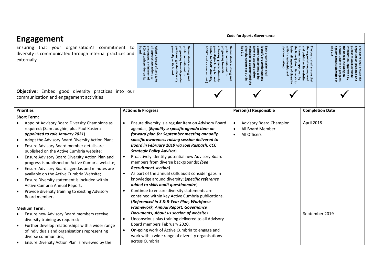| <b>Engagement</b>                                                                                                                                                                                                                                                                                                                                                                                                                                                                                                                                                                                                                                         | <b>Code for Sports Governance</b> |                                                                                                                            |                                                                                                                                                                                                                                                                                                                                                                                                                                                                                                                                                                                                                                                           |                                                                                                                                                                                                            |                                                                                                                                                                                                                                                |                                                                                                                                                                                                                                                                            |                        |                                                                                                                                                                                                                                                                            |  |
|-----------------------------------------------------------------------------------------------------------------------------------------------------------------------------------------------------------------------------------------------------------------------------------------------------------------------------------------------------------------------------------------------------------------------------------------------------------------------------------------------------------------------------------------------------------------------------------------------------------------------------------------------------------|-----------------------------------|----------------------------------------------------------------------------------------------------------------------------|-----------------------------------------------------------------------------------------------------------------------------------------------------------------------------------------------------------------------------------------------------------------------------------------------------------------------------------------------------------------------------------------------------------------------------------------------------------------------------------------------------------------------------------------------------------------------------------------------------------------------------------------------------------|------------------------------------------------------------------------------------------------------------------------------------------------------------------------------------------------------------|------------------------------------------------------------------------------------------------------------------------------------------------------------------------------------------------------------------------------------------------|----------------------------------------------------------------------------------------------------------------------------------------------------------------------------------------------------------------------------------------------------------------------------|------------------------|----------------------------------------------------------------------------------------------------------------------------------------------------------------------------------------------------------------------------------------------------------------------------|--|
| Ensuring that your organisation's commitment to<br>diversity is communicated through internal practices and<br>externally                                                                                                                                                                                                                                                                                                                                                                                                                                                                                                                                 |                                   | 30% of each gender on its<br>board<br>Adopt a target of, and take<br>all appropriate actions to<br>encourage, a minimum of | generally on<br>public<br>public commitment to<br>progressing towards gender<br>parity and greater diversity<br>Demonstrate a strong and<br>$\overline{\vec{a}}$<br>poard                                                                                                                                                                                                                                                                                                                                                                                                                                                                                 | public<br>generally(including but not<br>limited to BAME, disability,<br>LGB&T and socio-economic)<br>achieving greater diversity<br>Demonstrate a strong and<br>ublic commitment to<br>rogressing towards | Req<br>diversity<br>maintain<br>taken to support and/or<br>appropriate actions to<br>Each organisation shall<br>identify proportionate<br>2.1<br>targets<br>(as appropriate) the<br>set<br>lishall<br>out in<br>$\overline{\mathbf{g}}$<br>pue | decision<br>aug<br>the organisation<br>ド<br>the Board) about its work to<br>ā<br>with its<br>oster all aspects of diversity<br>rmation<br>I publish<br>board shall ensure that<br>leadership<br>making)<br>$\mathsf{S}$<br>pano.dde)<br>on prepared<br>i its website<br>्र |                        | annual update<br>The board shall ensure the<br>organisation prepared and<br>he Board)<br>nformation (approved by<br>igainst<br>iblishes on<br>actions<br>including<br>$\overline{\mathfrak{m}}$<br>e on progress<br>s identified in<br>website<br>$\mathbf{\underline{e}}$ |  |
| Objective: Embed good diversity practices into our<br>communication and engagement activities                                                                                                                                                                                                                                                                                                                                                                                                                                                                                                                                                             |                                   |                                                                                                                            |                                                                                                                                                                                                                                                                                                                                                                                                                                                                                                                                                                                                                                                           |                                                                                                                                                                                                            |                                                                                                                                                                                                                                                |                                                                                                                                                                                                                                                                            |                        |                                                                                                                                                                                                                                                                            |  |
| <b>Priorities</b>                                                                                                                                                                                                                                                                                                                                                                                                                                                                                                                                                                                                                                         |                                   | <b>Actions &amp; Progress</b>                                                                                              |                                                                                                                                                                                                                                                                                                                                                                                                                                                                                                                                                                                                                                                           |                                                                                                                                                                                                            | Person(s) Responsible                                                                                                                                                                                                                          |                                                                                                                                                                                                                                                                            | <b>Completion Date</b> |                                                                                                                                                                                                                                                                            |  |
| <b>Short Term:</b><br>Appoint Advisory Board Diversity Champions as<br>required; (Sam Joughin, plus Paul Kasiera<br>appointed to role January 2021)<br>Adopt the Advisory Board Diversity Action Plan;<br>Ensure Advisory Board member details are<br>published on the Active Cumbria website;<br>Ensure Advisory Board Diversity Action Plan and<br>progress is published on Active Cumbria website;<br>Ensure Advisory Board agendas and minutes are<br>available on the Active Cumbria Website;<br>Ensure Diversity statement is included within<br>Active Cumbria Annual Report;<br>Provide diversity training to existing Advisory<br>Board members. |                                   | <b>Strategic Policy Advisor)</b><br><b>Recruitment section)</b>                                                            | Ensure diversity is a regular item on Advisory Board<br>agendas; (Equality a specific agenda item on<br>forward plan for September meeting annually,<br>specific awareness raising session delivered to<br>Board in February 2019 via Joel Rasbash, CCC<br>Proactively identify potential new Advisory Board<br>members from diverse backgrounds; (See<br>As part of the annual skills audit consider gaps in<br>knowledge around diversity; (specific reference<br>added to skills audit questionnaire)<br>Continue to ensure diversity statements are<br>contained within key Active Cumbria publications.<br>(Referenced in 3 & 5-Year Plan, Workforce |                                                                                                                                                                                                            | <b>Advisory Board Champion</b><br>All Board Member<br>All Officers                                                                                                                                                                             |                                                                                                                                                                                                                                                                            | April 2018             |                                                                                                                                                                                                                                                                            |  |
| <b>Medium Term:</b><br>Ensure new Advisory Board members receive<br>diversity training as required;<br>Further develop relationships with a wider range<br>of individuals and organisations representing<br>diverse communities;<br>Ensure Diversity Action Plan is reviewed by the                                                                                                                                                                                                                                                                                                                                                                       | $\bullet$                         | across Cumbria.                                                                                                            | Framework, Annual Report, Governance<br>Documents, About us section of website)<br>Unconscious bias training delivered to all Advisory<br>Board members February 2020.<br>On-going work of Active Cumbria to engage and<br>work with a wide range of diversity organisations                                                                                                                                                                                                                                                                                                                                                                              |                                                                                                                                                                                                            |                                                                                                                                                                                                                                                |                                                                                                                                                                                                                                                                            |                        | September 2019                                                                                                                                                                                                                                                             |  |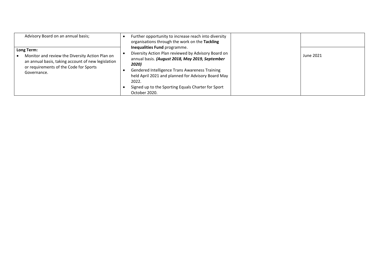| Advisory Board on an annual basis;<br>Long Term:<br>Monitor and review the Diversity Action Plan on<br>an annual basis, taking account of new legislation<br>or requirements of the Code for Sports<br>Governance. | Further opportunity to increase reach into diversity<br>organisations through the work on the Tackling<br>Inequalities Fund programme.<br>Diversity Action Plan reviewed by Advisory Board on<br>annual basis. (August 2018, May 2019, September | June 2021 |
|--------------------------------------------------------------------------------------------------------------------------------------------------------------------------------------------------------------------|--------------------------------------------------------------------------------------------------------------------------------------------------------------------------------------------------------------------------------------------------|-----------|
|                                                                                                                                                                                                                    | 2020)<br>Gendered Intelligence Trans Awareness Training<br>held April 2021 and planned for Advisory Board May<br>2022.<br>Signed up to the Sporting Equals Charter for Sport<br>October 2020.                                                    |           |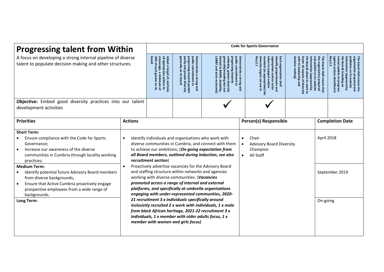| <b>Progressing talent from Within</b>                                                                                                                                                                                                                                                                                                                                                                                          |                | <b>Code for Sports Governance</b>                                                                                                                                                                                      |                                                                                                                                                                                                                                                                                                                                                                                                                                 |                                                                                                                                                                                                                                                                                                                                                                                                               |                                                                                                                                                                                                                                                |                                                                                                                                                                                                                                                                            |  |                                                                                                                                                                                                                            |  |  |  |
|--------------------------------------------------------------------------------------------------------------------------------------------------------------------------------------------------------------------------------------------------------------------------------------------------------------------------------------------------------------------------------------------------------------------------------|----------------|------------------------------------------------------------------------------------------------------------------------------------------------------------------------------------------------------------------------|---------------------------------------------------------------------------------------------------------------------------------------------------------------------------------------------------------------------------------------------------------------------------------------------------------------------------------------------------------------------------------------------------------------------------------|---------------------------------------------------------------------------------------------------------------------------------------------------------------------------------------------------------------------------------------------------------------------------------------------------------------------------------------------------------------------------------------------------------------|------------------------------------------------------------------------------------------------------------------------------------------------------------------------------------------------------------------------------------------------|----------------------------------------------------------------------------------------------------------------------------------------------------------------------------------------------------------------------------------------------------------------------------|--|----------------------------------------------------------------------------------------------------------------------------------------------------------------------------------------------------------------------------|--|--|--|
| A focus on developing a strong internal pipeline of diverse<br>talent to populate decision making and other structures.                                                                                                                                                                                                                                                                                                        |                | board<br>all appropriate actions to<br>encourage, a minimum of<br>Adopt<br>30%<br>$\overline{a}$<br>$\boldsymbol{\omega}$<br>each<br>target<br><b>gender</b><br>$\widetilde{\sigma}$<br>and take<br>$\mathsf S$<br>ಕ್ಷ | generally on<br>public<br>parity and<br>Demonstrate<br>rogressing towards gende<br>commitment to<br>greater diversity<br>its board<br>a strong and                                                                                                                                                                                                                                                                              | public commitment to<br>progressing towards<br>generally(including but not<br><b>LGB&amp;</b><br>imited<br>ieving<br>BAME,<br>greater diversity<br>socio-economic<br>disability,                                                                                                                                                                                                                              | Demonstrate a strong<br>diversity targets<br>appropriate actions to b<br>taken to support and/or<br>Each organisation shall<br>maintain (as appropriate) the<br>dentify proportionate and<br>Set<br>aut<br>gnd<br>$\overline{\mathbf{g}}$<br>Б | ្តូ<br>decision making)<br><b>The board shall ensure that</b><br>nformation<br>vith its leadership<br>he Board) about its work to<br>he organisation prepared<br>nd publish on its website<br>all aspects<br>(approved by<br>$\overline{\mathcal{C}}$<br>gind<br>diversity |  | keq<br><b>Bainst</b><br>nnual update<br>formation (approved by<br>blishes on<br>Board)<br>2.2<br>board shall ensure the<br>nisation prepared and<br>actions<br>including an<br>its website<br>on progress<br>identified in |  |  |  |
| Objective: Embed good diversity practices into our talent<br>development activities                                                                                                                                                                                                                                                                                                                                            |                |                                                                                                                                                                                                                        |                                                                                                                                                                                                                                                                                                                                                                                                                                 |                                                                                                                                                                                                                                                                                                                                                                                                               |                                                                                                                                                                                                                                                |                                                                                                                                                                                                                                                                            |  |                                                                                                                                                                                                                            |  |  |  |
| <b>Priorities</b>                                                                                                                                                                                                                                                                                                                                                                                                              | <b>Actions</b> |                                                                                                                                                                                                                        |                                                                                                                                                                                                                                                                                                                                                                                                                                 |                                                                                                                                                                                                                                                                                                                                                                                                               | <b>Person(s) Responsible</b>                                                                                                                                                                                                                   | <b>Completion Date</b>                                                                                                                                                                                                                                                     |  |                                                                                                                                                                                                                            |  |  |  |
| <b>Short Term:</b><br>Ensure compliance with the Code for Sports<br>Governance;<br>Increase our awareness of the diverse<br>communities in Cumbria through locality working<br>practices;<br><b>Medium Term:</b><br>Identify potential future Advisory Board members<br>from diverse backgrounds;<br>Ensure that Active Cumbria proactively engage<br>prospective employees from a wide range of<br>backgrounds.<br>Long Term: | $\bullet$      | recruitment section)                                                                                                                                                                                                   | Identify individuals and organisations who work with<br>and staffing structure within networks and agencies<br>working with diverse communities. (Vacancies<br>promoted across a range of internal and external<br>21 recruitment 3 x individuals specifically around<br>from black African heritage, 2021-22 recruitment 3 x<br>individuals, $1 x$ member with older adults focus, $1 x$<br>member with women and girls focus) | diverse communities in Cumbria, and connect with them<br>to achieve our ambitions; (On-going expectation from<br>all Board members, outlined during induction, see also<br>Proactively advertise vacancies for the Advisory Board<br>platforms, and specifically at umbrella organisations<br>engaging with under-represented communities, 2020-<br>inclusivity recruited 2 x work with individuals, 1 x male | Chair<br>$\bullet$<br><b>Advisory Board Diversity</b><br>$\bullet$<br>Champion<br>All Staff<br>$\bullet$                                                                                                                                       |                                                                                                                                                                                                                                                                            |  | April 2018<br>September 2019<br>On-going                                                                                                                                                                                   |  |  |  |